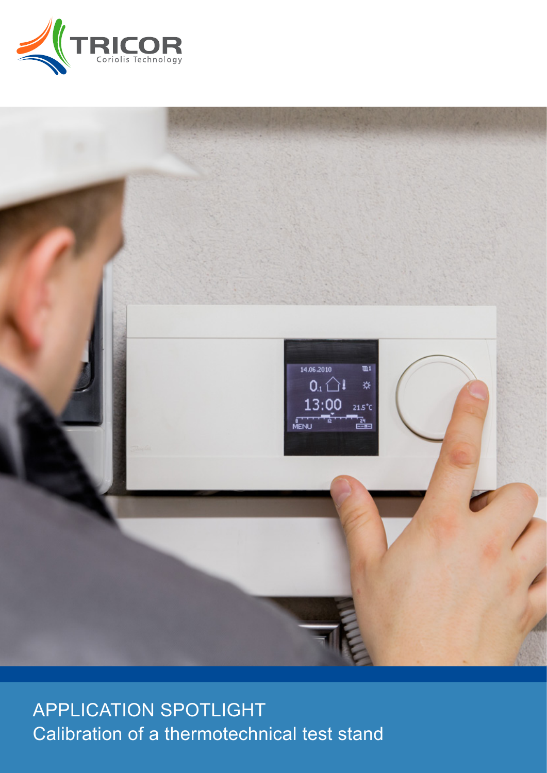



APPLICATION SPOTLIGHT Calibration of a thermotechnical test stand